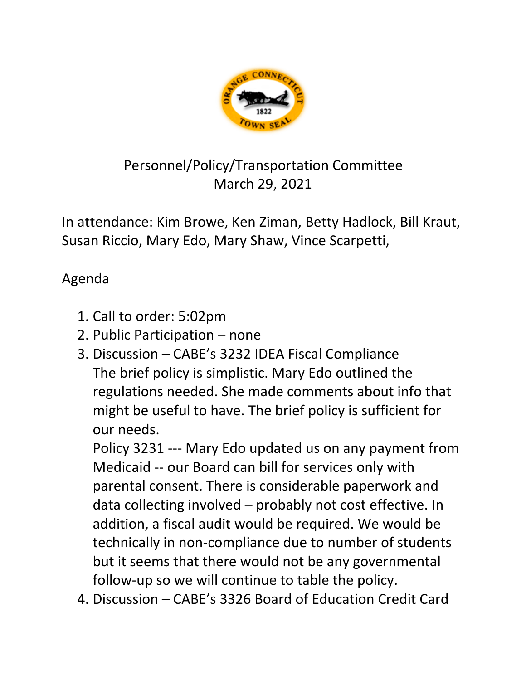

## Personnel/Policy/Transportation Committee March 29, 2021

In attendance: Kim Browe, Ken Ziman, Betty Hadlock, Bill Kraut, Susan Riccio, Mary Edo, Mary Shaw, Vince Scarpetti,

## Agenda

- 1. Call to order: 5:02pm
- 2. Public Participation none
- 3. Discussion CABE's 3232 IDEA Fiscal Compliance The brief policy is simplistic. Mary Edo outlined the regulations needed. She made comments about info that might be useful to have. The brief policy is sufficient for our needs.

Policy 3231 --- Mary Edo updated us on any payment from Medicaid -- our Board can bill for services only with parental consent. There is considerable paperwork and data collecting involved – probably not cost effective. In addition, a fiscal audit would be required. We would be technically in non-compliance due to number of students but it seems that there would not be any governmental follow-up so we will continue to table the policy.

4. Discussion – CABE's 3326 Board of Education Credit Card